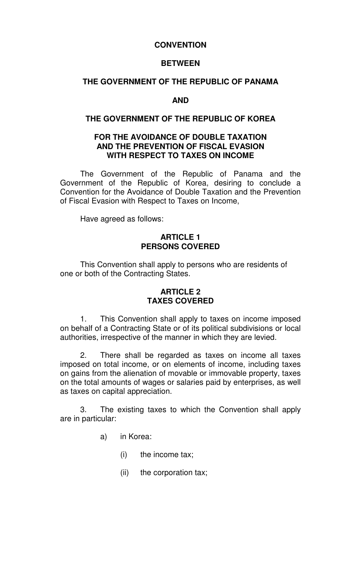## **CONVENTION**

## **BETWEEN**

## **THE GOVERNMENT OF THE REPUBLIC OF PANAMA**

#### **AND**

## **THE GOVERNMENT OF THE REPUBLIC OF KOREA**

## **FOR THE AVOIDANCE OF DOUBLE TAXATION AND THE PREVENTION OF FISCAL EVASION WITH RESPECT TO TAXES ON INCOME**

The Government of the Republic of Panama and the Government of the Republic of Korea, desiring to conclude a Convention for the Avoidance of Double Taxation and the Prevention of Fiscal Evasion with Respect to Taxes on Income,

Have agreed as follows:

# **ARTICLE 1 PERSONS COVERED**

This Convention shall apply to persons who are residents of one or both of the Contracting States.

# **ARTICLE 2 TAXES COVERED**

1. This Convention shall apply to taxes on income imposed on behalf of a Contracting State or of its political subdivisions or local authorities, irrespective of the manner in which they are levied.

2. There shall be regarded as taxes on income all taxes imposed on total income, or on elements of income, including taxes on gains from the alienation of movable or immovable property, taxes on the total amounts of wages or salaries paid by enterprises, as well as taxes on capital appreciation.

3. The existing taxes to which the Convention shall apply are in particular:

- a) in Korea:
	- (i) the income tax;
	- (ii) the corporation tax;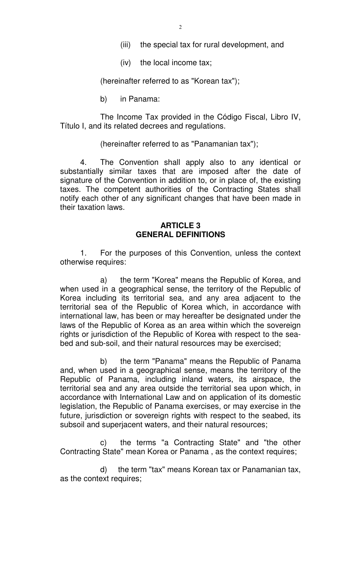- (iii) the special tax for rural development, and
- (iv) the local income tax;

(hereinafter referred to as "Korean tax");

b) in Panama:

The Income Tax provided in the Código Fiscal, Libro IV, Título I, and its related decrees and regulations.

(hereinafter referred to as "Panamanian tax");

4. The Convention shall apply also to any identical or substantially similar taxes that are imposed after the date of signature of the Convention in addition to, or in place of, the existing taxes. The competent authorities of the Contracting States shall notify each other of any significant changes that have been made in their taxation laws.

#### **ARTICLE 3 GENERAL DEFINITIONS**

1. For the purposes of this Convention, unless the context otherwise requires:

a) the term "Korea" means the Republic of Korea, and when used in a geographical sense, the territory of the Republic of Korea including its territorial sea, and any area adjacent to the territorial sea of the Republic of Korea which, in accordance with international law, has been or may hereafter be designated under the laws of the Republic of Korea as an area within which the sovereign rights or jurisdiction of the Republic of Korea with respect to the seabed and sub-soil, and their natural resources may be exercised;

b) the term "Panama" means the Republic of Panama and, when used in a geographical sense, means the territory of the Republic of Panama, including inland waters, its airspace, the territorial sea and any area outside the territorial sea upon which, in accordance with International Law and on application of its domestic legislation, the Republic of Panama exercises, or may exercise in the future, jurisdiction or sovereign rights with respect to the seabed, its subsoil and superjacent waters, and their natural resources;

c) the terms "a Contracting State" and "the other Contracting State" mean Korea or Panama , as the context requires;

d) the term "tax" means Korean tax or Panamanian tax, as the context requires;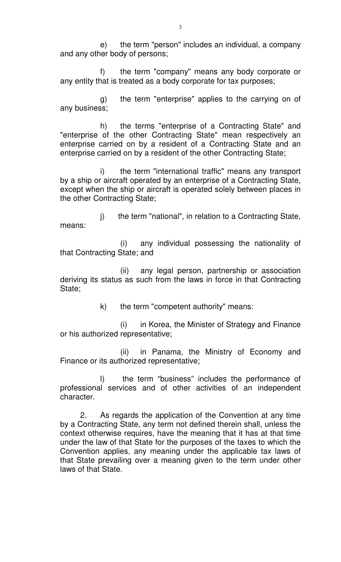e) the term "person" includes an individual, a company and any other body of persons;

f) the term "company" means any body corporate or any entity that is treated as a body corporate for tax purposes;

g) the term "enterprise" applies to the carrying on of any business;

h) the terms "enterprise of a Contracting State" and "enterprise of the other Contracting State" mean respectively an enterprise carried on by a resident of a Contracting State and an enterprise carried on by a resident of the other Contracting State;

i) the term "international traffic" means any transport by a ship or aircraft operated by an enterprise of a Contracting State, except when the ship or aircraft is operated solely between places in the other Contracting State;

j) the term "national", in relation to a Contracting State, means:

(i) any individual possessing the nationality of that Contracting State; and

(ii) any legal person, partnership or association deriving its status as such from the laws in force in that Contracting State;

k) the term "competent authority" means:

(i) in Korea, the Minister of Strategy and Finance or his authorized representative;

(ii) in Panama, the Ministry of Economy and Finance or its authorized representative;

l) the term "business" includes the performance of professional services and of other activities of an independent character.

2. As regards the application of the Convention at any time by a Contracting State, any term not defined therein shall, unless the context otherwise requires, have the meaning that it has at that time under the law of that State for the purposes of the taxes to which the Convention applies, any meaning under the applicable tax laws of that State prevailing over a meaning given to the term under other laws of that State.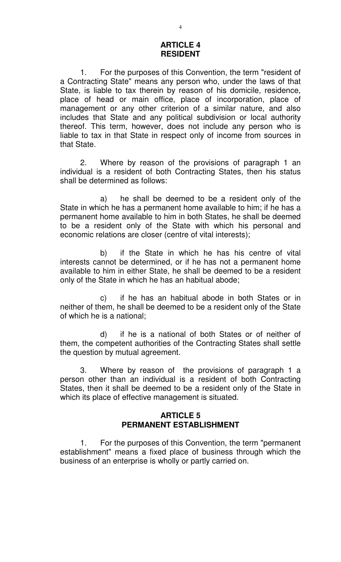#### **ARTICLE 4 RESIDENT**

1. For the purposes of this Convention, the term "resident of a Contracting State" means any person who, under the laws of that State, is liable to tax therein by reason of his domicile, residence, place of head or main office, place of incorporation, place of management or any other criterion of a similar nature, and also includes that State and any political subdivision or local authority thereof. This term, however, does not include any person who is liable to tax in that State in respect only of income from sources in that State.

2. Where by reason of the provisions of paragraph 1 an individual is a resident of both Contracting States, then his status shall be determined as follows:

a) he shall be deemed to be a resident only of the State in which he has a permanent home available to him; if he has a permanent home available to him in both States, he shall be deemed to be a resident only of the State with which his personal and economic relations are closer (centre of vital interests);

b) if the State in which he has his centre of vital interests cannot be determined, or if he has not a permanent home available to him in either State, he shall be deemed to be a resident only of the State in which he has an habitual abode;

c) if he has an habitual abode in both States or in neither of them, he shall be deemed to be a resident only of the State of which he is a national;

d) if he is a national of both States or of neither of them, the competent authorities of the Contracting States shall settle the question by mutual agreement.

3. Where by reason of the provisions of paragraph 1 a person other than an individual is a resident of both Contracting States, then it shall be deemed to be a resident only of the State in which its place of effective management is situated.

# **ARTICLE 5 PERMANENT ESTABLISHMENT**

1. For the purposes of this Convention, the term "permanent establishment" means a fixed place of business through which the business of an enterprise is wholly or partly carried on.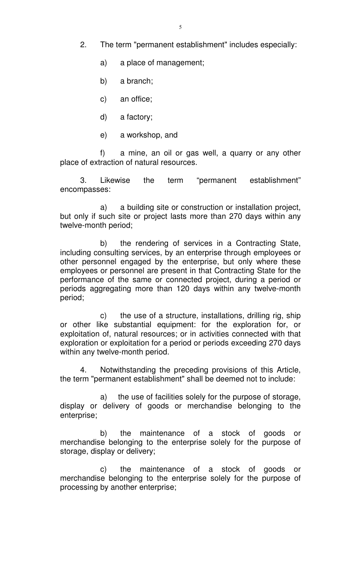- 2. The term "permanent establishment" includes especially:
	- a) a place of management;
	- b) a branch;
	- c) an office;
	- d) a factory;
	- e) a workshop, and

a mine, an oil or gas well, a quarry or any other place of extraction of natural resources.

3. Likewise the term "permanent establishment" encompasses:

a) a building site or construction or installation project, but only if such site or project lasts more than 270 days within any twelve-month period;

b) the rendering of services in a Contracting State, including consulting services, by an enterprise through employees or other personnel engaged by the enterprise, but only where these employees or personnel are present in that Contracting State for the performance of the same or connected project, during a period or periods aggregating more than 120 days within any twelve-month period;

c) the use of a structure, installations, drilling rig, ship or other like substantial equipment: for the exploration for, or exploitation of, natural resources; or in activities connected with that exploration or exploitation for a period or periods exceeding 270 days within any twelve-month period.

4. Notwithstanding the preceding provisions of this Article, the term "permanent establishment" shall be deemed not to include:

a) the use of facilities solely for the purpose of storage, display or delivery of goods or merchandise belonging to the enterprise;

b) the maintenance of a stock of goods or merchandise belonging to the enterprise solely for the purpose of storage, display or delivery;

c) the maintenance of a stock of goods or merchandise belonging to the enterprise solely for the purpose of processing by another enterprise;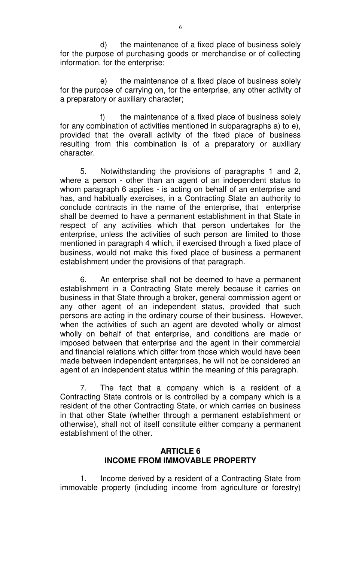d) the maintenance of a fixed place of business solely for the purpose of purchasing goods or merchandise or of collecting information, for the enterprise;

e) the maintenance of a fixed place of business solely for the purpose of carrying on, for the enterprise, any other activity of a preparatory or auxiliary character;

f) the maintenance of a fixed place of business solely for any combination of activities mentioned in subparagraphs a) to e), provided that the overall activity of the fixed place of business resulting from this combination is of a preparatory or auxiliary character.

5. Notwithstanding the provisions of paragraphs 1 and 2, where a person - other than an agent of an independent status to whom paragraph 6 applies - is acting on behalf of an enterprise and has, and habitually exercises, in a Contracting State an authority to conclude contracts in the name of the enterprise, that enterprise shall be deemed to have a permanent establishment in that State in respect of any activities which that person undertakes for the enterprise, unless the activities of such person are limited to those mentioned in paragraph 4 which, if exercised through a fixed place of business, would not make this fixed place of business a permanent establishment under the provisions of that paragraph.

6. An enterprise shall not be deemed to have a permanent establishment in a Contracting State merely because it carries on business in that State through a broker, general commission agent or any other agent of an independent status, provided that such persons are acting in the ordinary course of their business. However, when the activities of such an agent are devoted wholly or almost wholly on behalf of that enterprise, and conditions are made or imposed between that enterprise and the agent in their commercial and financial relations which differ from those which would have been made between independent enterprises, he will not be considered an agent of an independent status within the meaning of this paragraph.

7. The fact that a company which is a resident of a Contracting State controls or is controlled by a company which is a resident of the other Contracting State, or which carries on business in that other State (whether through a permanent establishment or otherwise), shall not of itself constitute either company a permanent establishment of the other.

## **ARTICLE 6 INCOME FROM IMMOVABLE PROPERTY**

1. Income derived by a resident of a Contracting State from immovable property (including income from agriculture or forestry)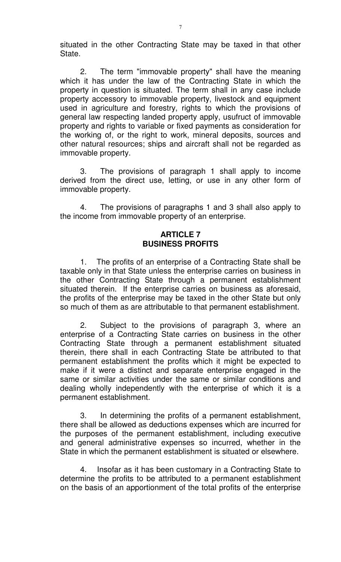situated in the other Contracting State may be taxed in that other State.

2. The term "immovable property" shall have the meaning which it has under the law of the Contracting State in which the property in question is situated. The term shall in any case include property accessory to immovable property, livestock and equipment used in agriculture and forestry, rights to which the provisions of general law respecting landed property apply, usufruct of immovable property and rights to variable or fixed payments as consideration for the working of, or the right to work, mineral deposits, sources and other natural resources; ships and aircraft shall not be regarded as immovable property.

3. The provisions of paragraph 1 shall apply to income derived from the direct use, letting, or use in any other form of immovable property.

4. The provisions of paragraphs 1 and 3 shall also apply to the income from immovable property of an enterprise.

# **ARTICLE 7 BUSINESS PROFITS**

1. The profits of an enterprise of a Contracting State shall be taxable only in that State unless the enterprise carries on business in the other Contracting State through a permanent establishment situated therein. If the enterprise carries on business as aforesaid, the profits of the enterprise may be taxed in the other State but only so much of them as are attributable to that permanent establishment.

2. Subject to the provisions of paragraph 3, where an enterprise of a Contracting State carries on business in the other Contracting State through a permanent establishment situated therein, there shall in each Contracting State be attributed to that permanent establishment the profits which it might be expected to make if it were a distinct and separate enterprise engaged in the same or similar activities under the same or similar conditions and dealing wholly independently with the enterprise of which it is a permanent establishment.

3. In determining the profits of a permanent establishment, there shall be allowed as deductions expenses which are incurred for the purposes of the permanent establishment, including executive and general administrative expenses so incurred, whether in the State in which the permanent establishment is situated or elsewhere.

4. Insofar as it has been customary in a Contracting State to determine the profits to be attributed to a permanent establishment on the basis of an apportionment of the total profits of the enterprise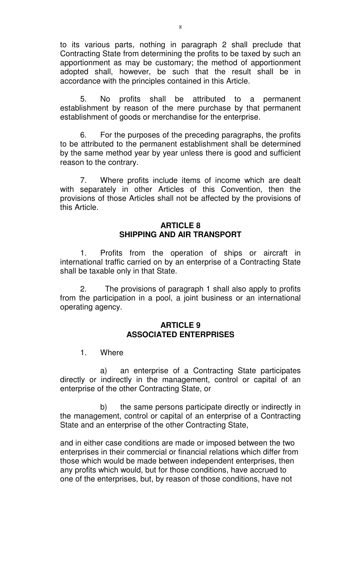to its various parts, nothing in paragraph 2 shall preclude that Contracting State from determining the profits to be taxed by such an apportionment as may be customary; the method of apportionment adopted shall, however, be such that the result shall be in accordance with the principles contained in this Article.

5. No profits shall be attributed to a permanent establishment by reason of the mere purchase by that permanent establishment of goods or merchandise for the enterprise.

6. For the purposes of the preceding paragraphs, the profits to be attributed to the permanent establishment shall be determined by the same method year by year unless there is good and sufficient reason to the contrary.

7. Where profits include items of income which are dealt with separately in other Articles of this Convention, then the provisions of those Articles shall not be affected by the provisions of this Article.

## **ARTICLE 8 SHIPPING AND AIR TRANSPORT**

1. Profits from the operation of ships or aircraft in international traffic carried on by an enterprise of a Contracting State shall be taxable only in that State.

2. The provisions of paragraph 1 shall also apply to profits from the participation in a pool, a joint business or an international operating agency.

## **ARTICLE 9 ASSOCIATED ENTERPRISES**

1. Where

a) an enterprise of a Contracting State participates directly or indirectly in the management, control or capital of an enterprise of the other Contracting State, or

b) the same persons participate directly or indirectly in the management, control or capital of an enterprise of a Contracting State and an enterprise of the other Contracting State,

and in either case conditions are made or imposed between the two enterprises in their commercial or financial relations which differ from those which would be made between independent enterprises, then any profits which would, but for those conditions, have accrued to one of the enterprises, but, by reason of those conditions, have not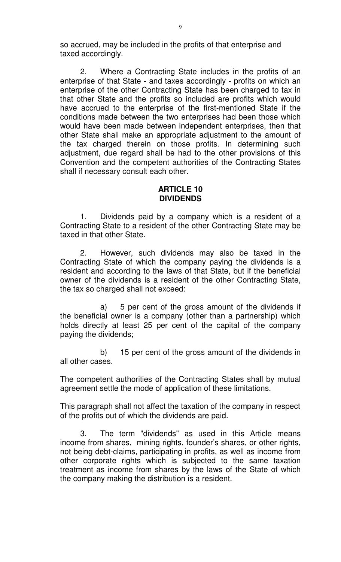so accrued, may be included in the profits of that enterprise and taxed accordingly.

2. Where a Contracting State includes in the profits of an enterprise of that State - and taxes accordingly - profits on which an enterprise of the other Contracting State has been charged to tax in that other State and the profits so included are profits which would have accrued to the enterprise of the first-mentioned State if the conditions made between the two enterprises had been those which would have been made between independent enterprises, then that other State shall make an appropriate adjustment to the amount of the tax charged therein on those profits. In determining such adjustment, due regard shall be had to the other provisions of this Convention and the competent authorities of the Contracting States shall if necessary consult each other.

## **ARTICLE 10 DIVIDENDS**

1. Dividends paid by a company which is a resident of a Contracting State to a resident of the other Contracting State may be taxed in that other State.

2. However, such dividends may also be taxed in the Contracting State of which the company paying the dividends is a resident and according to the laws of that State, but if the beneficial owner of the dividends is a resident of the other Contracting State, the tax so charged shall not exceed:

a) 5 per cent of the gross amount of the dividends if the beneficial owner is a company (other than a partnership) which holds directly at least 25 per cent of the capital of the company paying the dividends;

b) 15 per cent of the gross amount of the dividends in all other cases.

The competent authorities of the Contracting States shall by mutual agreement settle the mode of application of these limitations.

This paragraph shall not affect the taxation of the company in respect of the profits out of which the dividends are paid.

3. The term "dividends" as used in this Article means income from shares, mining rights, founder's shares, or other rights, not being debt-claims, participating in profits, as well as income from other corporate rights which is subjected to the same taxation treatment as income from shares by the laws of the State of which the company making the distribution is a resident.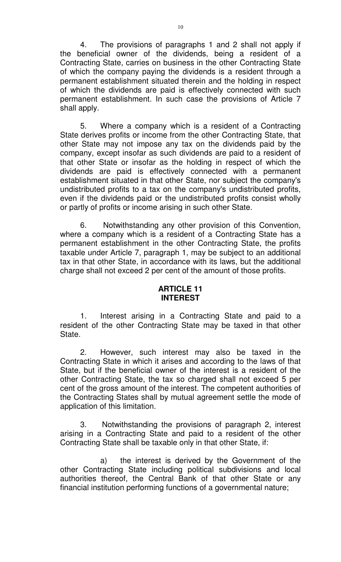4. The provisions of paragraphs 1 and 2 shall not apply if the beneficial owner of the dividends, being a resident of a Contracting State, carries on business in the other Contracting State of which the company paying the dividends is a resident through a permanent establishment situated therein and the holding in respect of which the dividends are paid is effectively connected with such permanent establishment. In such case the provisions of Article 7 shall apply.

5. Where a company which is a resident of a Contracting State derives profits or income from the other Contracting State, that other State may not impose any tax on the dividends paid by the company, except insofar as such dividends are paid to a resident of that other State or insofar as the holding in respect of which the dividends are paid is effectively connected with a permanent establishment situated in that other State, nor subject the company's undistributed profits to a tax on the company's undistributed profits, even if the dividends paid or the undistributed profits consist wholly or partly of profits or income arising in such other State.

6. Notwithstanding any other provision of this Convention, where a company which is a resident of a Contracting State has a permanent establishment in the other Contracting State, the profits taxable under Article 7, paragraph 1, may be subject to an additional tax in that other State, in accordance with its laws, but the additional charge shall not exceed 2 per cent of the amount of those profits.

## **ARTICLE 11 INTEREST**

1. Interest arising in a Contracting State and paid to a resident of the other Contracting State may be taxed in that other State.

2. However, such interest may also be taxed in the Contracting State in which it arises and according to the laws of that State, but if the beneficial owner of the interest is a resident of the other Contracting State, the tax so charged shall not exceed 5 per cent of the gross amount of the interest. The competent authorities of the Contracting States shall by mutual agreement settle the mode of application of this limitation.

3. Notwithstanding the provisions of paragraph 2, interest arising in a Contracting State and paid to a resident of the other Contracting State shall be taxable only in that other State, if:

a) the interest is derived by the Government of the other Contracting State including political subdivisions and local authorities thereof, the Central Bank of that other State or any financial institution performing functions of a governmental nature;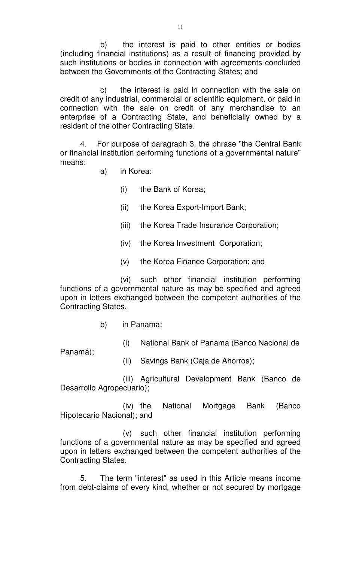b) the interest is paid to other entities or bodies (including financial institutions) as a result of financing provided by such institutions or bodies in connection with agreements concluded between the Governments of the Contracting States; and

c) the interest is paid in connection with the sale on credit of any industrial, commercial or scientific equipment, or paid in connection with the sale on credit of any merchandise to an enterprise of a Contracting State, and beneficially owned by a resident of the other Contracting State.

4. For purpose of paragraph 3, the phrase "the Central Bank or financial institution performing functions of a governmental nature" means:

- a) in Korea:
	- (i) the Bank of Korea;
	- (ii) the Korea Export-Import Bank;
	- (iii) the Korea Trade Insurance Corporation;
	- (iv) the Korea Investment Corporation;
	- (v) the Korea Finance Corporation; and

(vi) such other financial institution performing functions of a governmental nature as may be specified and agreed upon in letters exchanged between the competent authorities of the Contracting States.

- b) in Panama:
	- (i) National Bank of Panama (Banco Nacional de

Panamá);

(ii) Savings Bank (Caja de Ahorros);

(iii) Agricultural Development Bank (Banco de Desarrollo Agropecuario);

(iv) the National Mortgage Bank (Banco Hipotecario Nacional); and

(v) such other financial institution performing functions of a governmental nature as may be specified and agreed upon in letters exchanged between the competent authorities of the Contracting States.

5. The term "interest" as used in this Article means income from debt-claims of every kind, whether or not secured by mortgage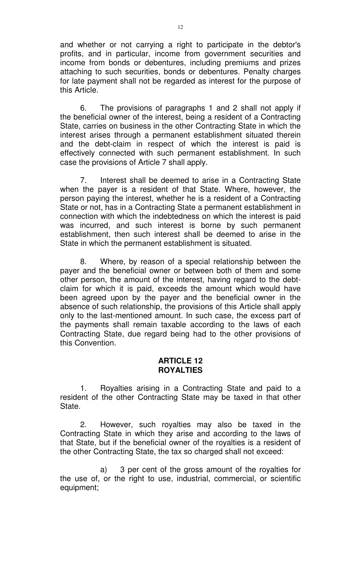and whether or not carrying a right to participate in the debtor's profits, and in particular, income from government securities and income from bonds or debentures, including premiums and prizes attaching to such securities, bonds or debentures. Penalty charges for late payment shall not be regarded as interest for the purpose of this Article.

6. The provisions of paragraphs 1 and 2 shall not apply if the beneficial owner of the interest, being a resident of a Contracting State, carries on business in the other Contracting State in which the interest arises through a permanent establishment situated therein and the debt-claim in respect of which the interest is paid is effectively connected with such permanent establishment. In such case the provisions of Article 7 shall apply.

7. Interest shall be deemed to arise in a Contracting State when the payer is a resident of that State. Where, however, the person paying the interest, whether he is a resident of a Contracting State or not, has in a Contracting State a permanent establishment in connection with which the indebtedness on which the interest is paid was incurred, and such interest is borne by such permanent establishment, then such interest shall be deemed to arise in the State in which the permanent establishment is situated.

8. Where, by reason of a special relationship between the payer and the beneficial owner or between both of them and some other person, the amount of the interest, having regard to the debtclaim for which it is paid, exceeds the amount which would have been agreed upon by the payer and the beneficial owner in the absence of such relationship, the provisions of this Article shall apply only to the last-mentioned amount. In such case, the excess part of the payments shall remain taxable according to the laws of each Contracting State, due regard being had to the other provisions of this Convention.

## **ARTICLE 12 ROYALTIES**

1. Royalties arising in a Contracting State and paid to a resident of the other Contracting State may be taxed in that other State.

2. However, such royalties may also be taxed in the Contracting State in which they arise and according to the laws of that State, but if the beneficial owner of the royalties is a resident of the other Contracting State, the tax so charged shall not exceed:

a) 3 per cent of the gross amount of the royalties for the use of, or the right to use, industrial, commercial, or scientific equipment;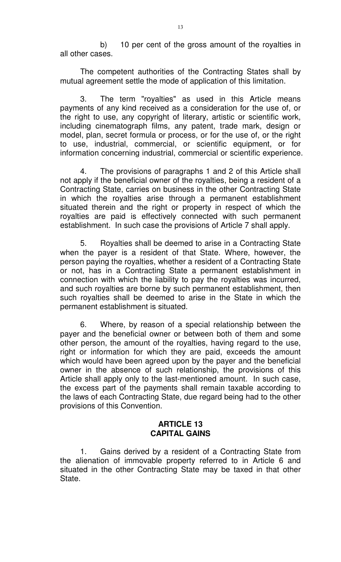b) 10 per cent of the gross amount of the royalties in all other cases.

The competent authorities of the Contracting States shall by mutual agreement settle the mode of application of this limitation.

3. The term "royalties" as used in this Article means payments of any kind received as a consideration for the use of, or the right to use, any copyright of literary, artistic or scientific work, including cinematograph films, any patent, trade mark, design or model, plan, secret formula or process, or for the use of, or the right to use, industrial, commercial, or scientific equipment, or for information concerning industrial, commercial or scientific experience.

4. The provisions of paragraphs 1 and 2 of this Article shall not apply if the beneficial owner of the royalties, being a resident of a Contracting State, carries on business in the other Contracting State in which the royalties arise through a permanent establishment situated therein and the right or property in respect of which the royalties are paid is effectively connected with such permanent establishment. In such case the provisions of Article 7 shall apply.

5. Royalties shall be deemed to arise in a Contracting State when the payer is a resident of that State. Where, however, the person paying the royalties, whether a resident of a Contracting State or not, has in a Contracting State a permanent establishment in connection with which the liability to pay the royalties was incurred, and such royalties are borne by such permanent establishment, then such royalties shall be deemed to arise in the State in which the permanent establishment is situated.

6. Where, by reason of a special relationship between the payer and the beneficial owner or between both of them and some other person, the amount of the royalties, having regard to the use, right or information for which they are paid, exceeds the amount which would have been agreed upon by the payer and the beneficial owner in the absence of such relationship, the provisions of this Article shall apply only to the last-mentioned amount. In such case, the excess part of the payments shall remain taxable according to the laws of each Contracting State, due regard being had to the other provisions of this Convention.

## **ARTICLE 13 CAPITAL GAINS**

1. Gains derived by a resident of a Contracting State from the alienation of immovable property referred to in Article 6 and situated in the other Contracting State may be taxed in that other State.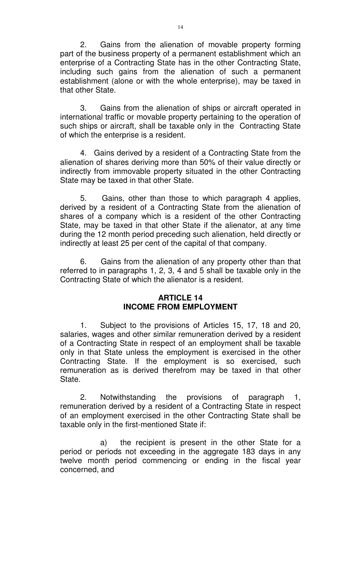2. Gains from the alienation of movable property forming part of the business property of a permanent establishment which an enterprise of a Contracting State has in the other Contracting State, including such gains from the alienation of such a permanent establishment (alone or with the whole enterprise), may be taxed in that other State.

3. Gains from the alienation of ships or aircraft operated in international traffic or movable property pertaining to the operation of such ships or aircraft, shall be taxable only in the Contracting State of which the enterprise is a resident.

4. Gains derived by a resident of a Contracting State from the alienation of shares deriving more than 50% of their value directly or indirectly from immovable property situated in the other Contracting State may be taxed in that other State.

5. Gains, other than those to which paragraph 4 applies, derived by a resident of a Contracting State from the alienation of shares of a company which is a resident of the other Contracting State, may be taxed in that other State if the alienator, at any time during the 12 month period preceding such alienation, held directly or indirectly at least 25 per cent of the capital of that company.

6. Gains from the alienation of any property other than that referred to in paragraphs 1, 2, 3, 4 and 5 shall be taxable only in the Contracting State of which the alienator is a resident.

## **ARTICLE 14 INCOME FROM EMPLOYMENT**

1. Subject to the provisions of Articles 15, 17, 18 and 20, salaries, wages and other similar remuneration derived by a resident of a Contracting State in respect of an employment shall be taxable only in that State unless the employment is exercised in the other Contracting State. If the employment is so exercised, such remuneration as is derived therefrom may be taxed in that other State.

2. Notwithstanding the provisions of paragraph 1, remuneration derived by a resident of a Contracting State in respect of an employment exercised in the other Contracting State shall be taxable only in the first-mentioned State if:

a) the recipient is present in the other State for a period or periods not exceeding in the aggregate 183 days in any twelve month period commencing or ending in the fiscal year concerned, and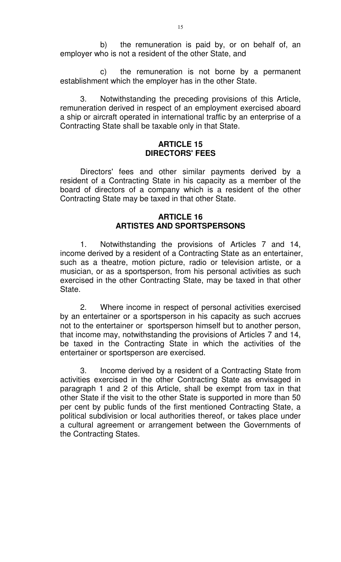b) the remuneration is paid by, or on behalf of, an employer who is not a resident of the other State, and

c) the remuneration is not borne by a permanent establishment which the employer has in the other State.

3. Notwithstanding the preceding provisions of this Article, remuneration derived in respect of an employment exercised aboard a ship or aircraft operated in international traffic by an enterprise of a Contracting State shall be taxable only in that State.

#### **ARTICLE 15 DIRECTORS' FEES**

Directors' fees and other similar payments derived by a resident of a Contracting State in his capacity as a member of the board of directors of a company which is a resident of the other Contracting State may be taxed in that other State.

## **ARTICLE 16 ARTISTES AND SPORTSPERSONS**

1. Notwithstanding the provisions of Articles 7 and 14, income derived by a resident of a Contracting State as an entertainer, such as a theatre, motion picture, radio or television artiste, or a musician, or as a sportsperson, from his personal activities as such exercised in the other Contracting State, may be taxed in that other State.

2. Where income in respect of personal activities exercised by an entertainer or a sportsperson in his capacity as such accrues not to the entertainer or sportsperson himself but to another person, that income may, notwithstanding the provisions of Articles 7 and 14, be taxed in the Contracting State in which the activities of the entertainer or sportsperson are exercised.

3. Income derived by a resident of a Contracting State from activities exercised in the other Contracting State as envisaged in paragraph 1 and 2 of this Article, shall be exempt from tax in that other State if the visit to the other State is supported in more than 50 per cent by public funds of the first mentioned Contracting State, a political subdivision or local authorities thereof, or takes place under a cultural agreement or arrangement between the Governments of the Contracting States.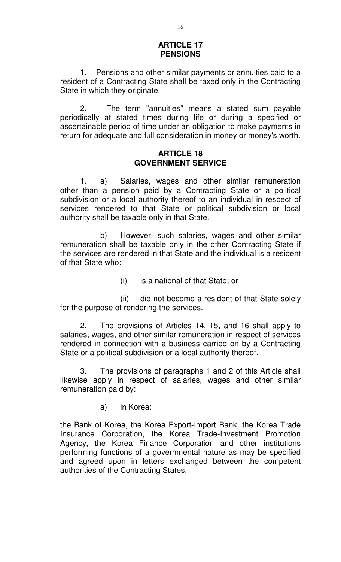#### **ARTICLE 17 PENSIONS**

1. Pensions and other similar payments or annuities paid to a resident of a Contracting State shall be taxed only in the Contracting State in which they originate.

2. The term "annuities" means a stated sum payable periodically at stated times during life or during a specified or ascertainable period of time under an obligation to make payments in return for adequate and full consideration in money or money's worth.

#### **ARTICLE 18 GOVERNMENT SERVICE**

1. a) Salaries, wages and other similar remuneration other than a pension paid by a Contracting State or a political subdivision or a local authority thereof to an individual in respect of services rendered to that State or political subdivision or local authority shall be taxable only in that State.

b) However, such salaries, wages and other similar remuneration shall be taxable only in the other Contracting State if the services are rendered in that State and the individual is a resident of that State who:

(i) is a national of that State; or

(ii) did not become a resident of that State solely for the purpose of rendering the services.

2. The provisions of Articles 14, 15, and 16 shall apply to salaries, wages, and other similar remuneration in respect of services rendered in connection with a business carried on by a Contracting State or a political subdivision or a local authority thereof.

3. The provisions of paragraphs 1 and 2 of this Article shall likewise apply in respect of salaries, wages and other similar remuneration paid by:

a) in Korea:

the Bank of Korea, the Korea Export-Import Bank, the Korea Trade Insurance Corporation, the Korea Trade-Investment Promotion Agency, the Korea Finance Corporation and other institutions performing functions of a governmental nature as may be specified and agreed upon in letters exchanged between the competent authorities of the Contracting States.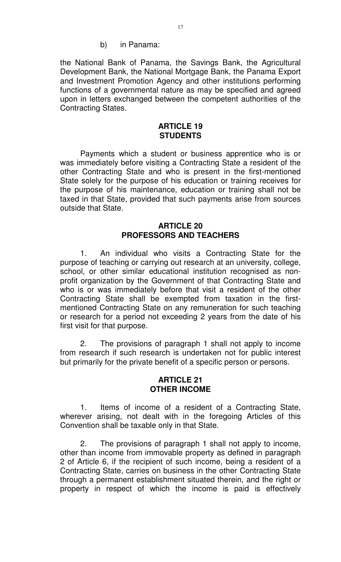b) in Panama:

the National Bank of Panama, the Savings Bank, the Agricultural Development Bank, the National Mortgage Bank, the Panama Export and Investment Promotion Agency and other institutions performing functions of a governmental nature as may be specified and agreed upon in letters exchanged between the competent authorities of the Contracting States.

#### **ARTICLE 19 STUDENTS**

Payments which a student or business apprentice who is or was immediately before visiting a Contracting State a resident of the other Contracting State and who is present in the first-mentioned State solely for the purpose of his education or training receives for the purpose of his maintenance, education or training shall not be taxed in that State, provided that such payments arise from sources outside that State.

## **ARTICLE 20 PROFESSORS AND TEACHERS**

1. An individual who visits a Contracting State for the purpose of teaching or carrying out research at an university, college, school, or other similar educational institution recognised as nonprofit organization by the Government of that Contracting State and who is or was immediately before that visit a resident of the other Contracting State shall be exempted from taxation in the firstmentioned Contracting State on any remuneration for such teaching or research for a period not exceeding 2 years from the date of his first visit for that purpose.

2. The provisions of paragraph 1 shall not apply to income from research if such research is undertaken not for public interest but primarily for the private benefit of a specific person or persons.

## **ARTICLE 21 OTHER INCOME**

1. Items of income of a resident of a Contracting State, wherever arising, not dealt with in the foregoing Articles of this Convention shall be taxable only in that State.

2. The provisions of paragraph 1 shall not apply to income, other than income from immovable property as defined in paragraph 2 of Article 6, if the recipient of such income, being a resident of a Contracting State, carries on business in the other Contracting State through a permanent establishment situated therein, and the right or property in respect of which the income is paid is effectively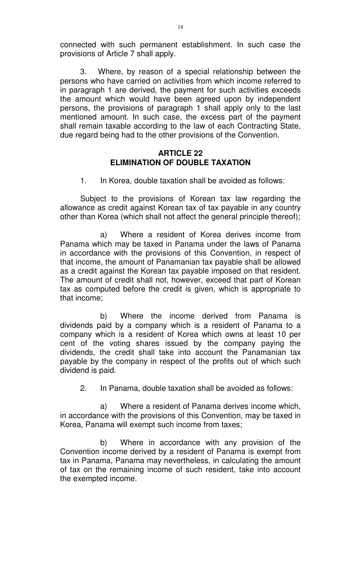connected with such permanent establishment. In such case the provisions of Article 7 shall apply.

3. Where, by reason of a special relationship between the persons who have carried on activities from which income referred to in paragraph 1 are derived, the payment for such activities exceeds the amount which would have been agreed upon by independent persons, the provisions of paragraph 1 shall apply only to the last mentioned amount. In such case, the excess part of the payment shall remain taxable according to the law of each Contracting State, due regard being had to the other provisions of the Convention.

#### **ARTICLE 22 ELIMINATION OF DOUBLE TAXATION**

1. In Korea, double taxation shall be avoided as follows:

Subject to the provisions of Korean tax law regarding the allowance as credit against Korean tax of tax payable in any country other than Korea (which shall not affect the general principle thereof);

a) Where a resident of Korea derives income from Panama which may be taxed in Panama under the laws of Panama in accordance with the provisions of this Convention, in respect of that income, the amount of Panamanian tax payable shall be allowed as a credit against the Korean tax payable imposed on that resident. The amount of credit shall not, however, exceed that part of Korean tax as computed before the credit is given, which is appropriate to that income;

b) Where the income derived from Panama is dividends paid by a company which is a resident of Panama to a company which is a resident of Korea which owns at least 10 per cent of the voting shares issued by the company paying the dividends, the credit shall take into account the Panamanian tax payable by the company in respect of the profits out of which such dividend is paid.

2. In Panama, double taxation shall be avoided as follows:

a) Where a resident of Panama derives income which, in accordance with the provisions of this Convention, may be taxed in Korea, Panama will exempt such income from taxes;

b) Where in accordance with any provision of the Convention income derived by a resident of Panama is exempt from tax in Panama, Panama may nevertheless, in calculating the amount of tax on the remaining income of such resident, take into account the exempted income.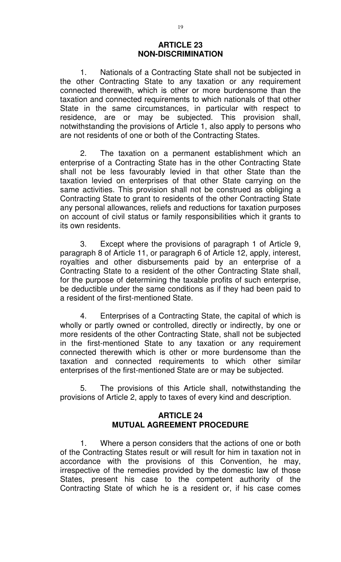#### **ARTICLE 23 NON-DISCRIMINATION**

1. Nationals of a Contracting State shall not be subjected in the other Contracting State to any taxation or any requirement connected therewith, which is other or more burdensome than the taxation and connected requirements to which nationals of that other State in the same circumstances, in particular with respect to residence, are or may be subjected. This provision shall, notwithstanding the provisions of Article 1, also apply to persons who are not residents of one or both of the Contracting States.

2. The taxation on a permanent establishment which an enterprise of a Contracting State has in the other Contracting State shall not be less favourably levied in that other State than the taxation levied on enterprises of that other State carrying on the same activities. This provision shall not be construed as obliging a Contracting State to grant to residents of the other Contracting State any personal allowances, reliefs and reductions for taxation purposes on account of civil status or family responsibilities which it grants to its own residents.

3. Except where the provisions of paragraph 1 of Article 9, paragraph 8 of Article 11, or paragraph 6 of Article 12, apply, interest, royalties and other disbursements paid by an enterprise of a Contracting State to a resident of the other Contracting State shall, for the purpose of determining the taxable profits of such enterprise, be deductible under the same conditions as if they had been paid to a resident of the first-mentioned State.

4. Enterprises of a Contracting State, the capital of which is wholly or partly owned or controlled, directly or indirectly, by one or more residents of the other Contracting State, shall not be subjected in the first-mentioned State to any taxation or any requirement connected therewith which is other or more burdensome than the taxation and connected requirements to which other similar enterprises of the first-mentioned State are or may be subjected.

5. The provisions of this Article shall, notwithstanding the provisions of Article 2, apply to taxes of every kind and description.

# **ARTICLE 24 MUTUAL AGREEMENT PROCEDURE**

1. Where a person considers that the actions of one or both of the Contracting States result or will result for him in taxation not in accordance with the provisions of this Convention, he may, irrespective of the remedies provided by the domestic law of those States, present his case to the competent authority of the Contracting State of which he is a resident or, if his case comes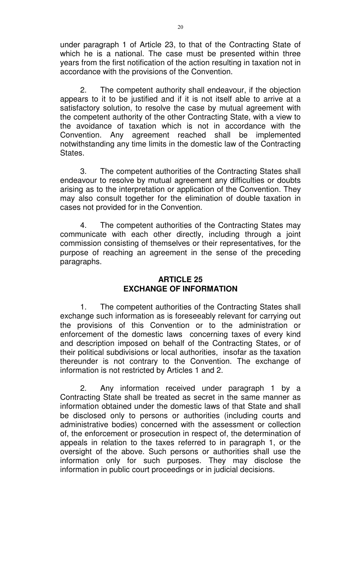under paragraph 1 of Article 23, to that of the Contracting State of which he is a national. The case must be presented within three years from the first notification of the action resulting in taxation not in accordance with the provisions of the Convention.

2. The competent authority shall endeavour, if the objection appears to it to be justified and if it is not itself able to arrive at a satisfactory solution, to resolve the case by mutual agreement with the competent authority of the other Contracting State, with a view to the avoidance of taxation which is not in accordance with the Convention. Any agreement reached shall be implemented notwithstanding any time limits in the domestic law of the Contracting States.

3. The competent authorities of the Contracting States shall endeavour to resolve by mutual agreement any difficulties or doubts arising as to the interpretation or application of the Convention. They may also consult together for the elimination of double taxation in cases not provided for in the Convention.

4. The competent authorities of the Contracting States may communicate with each other directly, including through a joint commission consisting of themselves or their representatives, for the purpose of reaching an agreement in the sense of the preceding paragraphs.

# **ARTICLE 25 EXCHANGE OF INFORMATION**

1. The competent authorities of the Contracting States shall exchange such information as is foreseeably relevant for carrying out the provisions of this Convention or to the administration or enforcement of the domestic laws concerning taxes of every kind and description imposed on behalf of the Contracting States, or of their political subdivisions or local authorities, insofar as the taxation thereunder is not contrary to the Convention. The exchange of information is not restricted by Articles 1 and 2.

2. Any information received under paragraph 1 by a Contracting State shall be treated as secret in the same manner as information obtained under the domestic laws of that State and shall be disclosed only to persons or authorities (including courts and administrative bodies) concerned with the assessment or collection of, the enforcement or prosecution in respect of, the determination of appeals in relation to the taxes referred to in paragraph 1, or the oversight of the above. Such persons or authorities shall use the information only for such purposes. They may disclose the information in public court proceedings or in judicial decisions.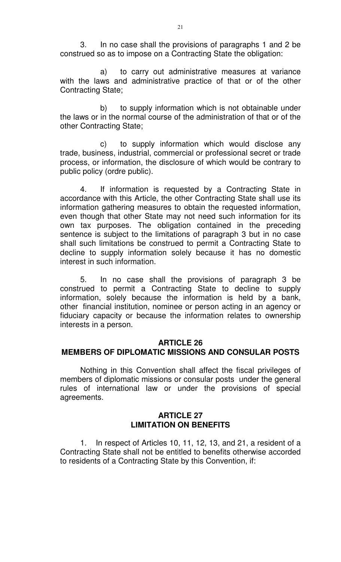3. In no case shall the provisions of paragraphs 1 and 2 be construed so as to impose on a Contracting State the obligation:

a) to carry out administrative measures at variance with the laws and administrative practice of that or of the other Contracting State;

b) to supply information which is not obtainable under the laws or in the normal course of the administration of that or of the other Contracting State;

c) to supply information which would disclose any trade, business, industrial, commercial or professional secret or trade process, or information, the disclosure of which would be contrary to public policy (ordre public).

4. If information is requested by a Contracting State in accordance with this Article, the other Contracting State shall use its information gathering measures to obtain the requested information, even though that other State may not need such information for its own tax purposes. The obligation contained in the preceding sentence is subject to the limitations of paragraph 3 but in no case shall such limitations be construed to permit a Contracting State to decline to supply information solely because it has no domestic interest in such information.

5. In no case shall the provisions of paragraph 3 be construed to permit a Contracting State to decline to supply information, solely because the information is held by a bank, other financial institution, nominee or person acting in an agency or fiduciary capacity or because the information relates to ownership interests in a person.

## **ARTICLE 26 MEMBERS OF DIPLOMATIC MISSIONS AND CONSULAR POSTS**

Nothing in this Convention shall affect the fiscal privileges of members of diplomatic missions or consular posts under the general rules of international law or under the provisions of special agreements.

# **ARTICLE 27 LIMITATION ON BENEFITS**

1. In respect of Articles 10, 11, 12, 13, and 21, a resident of a Contracting State shall not be entitled to benefits otherwise accorded to residents of a Contracting State by this Convention, if: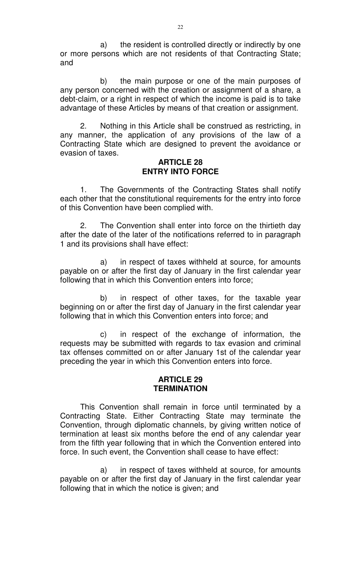a) the resident is controlled directly or indirectly by one or more persons which are not residents of that Contracting State; and

b) the main purpose or one of the main purposes of any person concerned with the creation or assignment of a share, a debt-claim, or a right in respect of which the income is paid is to take advantage of these Articles by means of that creation or assignment.

2. Nothing in this Article shall be construed as restricting, in any manner, the application of any provisions of the law of a Contracting State which are designed to prevent the avoidance or evasion of taxes.

#### **ARTICLE 28 ENTRY INTO FORCE**

1. The Governments of the Contracting States shall notify each other that the constitutional requirements for the entry into force of this Convention have been complied with.

2. The Convention shall enter into force on the thirtieth day after the date of the later of the notifications referred to in paragraph 1 and its provisions shall have effect:

a) in respect of taxes withheld at source, for amounts payable on or after the first day of January in the first calendar year following that in which this Convention enters into force;

b) in respect of other taxes, for the taxable year beginning on or after the first day of January in the first calendar year following that in which this Convention enters into force; and

c) in respect of the exchange of information, the requests may be submitted with regards to tax evasion and criminal tax offenses committed on or after January 1st of the calendar year preceding the year in which this Convention enters into force.

#### **ARTICLE 29 TERMINATION**

This Convention shall remain in force until terminated by a Contracting State. Either Contracting State may terminate the Convention, through diplomatic channels, by giving written notice of termination at least six months before the end of any calendar year from the fifth year following that in which the Convention entered into force. In such event, the Convention shall cease to have effect:

a) in respect of taxes withheld at source, for amounts payable on or after the first day of January in the first calendar year following that in which the notice is given; and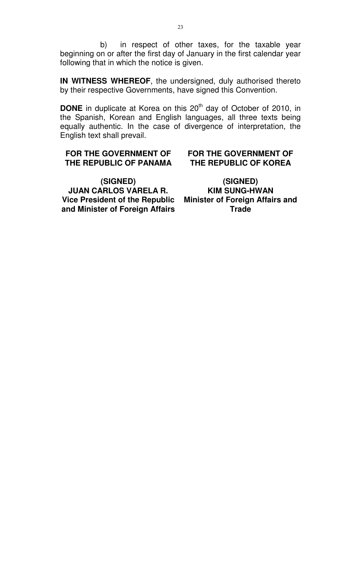b) in respect of other taxes, for the taxable year beginning on or after the first day of January in the first calendar year following that in which the notice is given.

**IN WITNESS WHEREOF**, the undersigned, duly authorised thereto by their respective Governments, have signed this Convention.

**DONE** in duplicate at Korea on this 20<sup>th</sup> day of October of 2010, in the Spanish, Korean and English languages, all three texts being equally authentic. In the case of divergence of interpretation, the English text shall prevail.

#### **FOR THE GOVERNMENT OF THE REPUBLIC OF PANAMA**

#### **FOR THE GOVERNMENT OF THE REPUBLIC OF KOREA**

**(SIGNED) JUAN CARLOS VARELA R. Vice President of the Republic and Minister of Foreign Affairs** 

**(SIGNED) KIM SUNG-HWAN Minister of Foreign Affairs and Trade**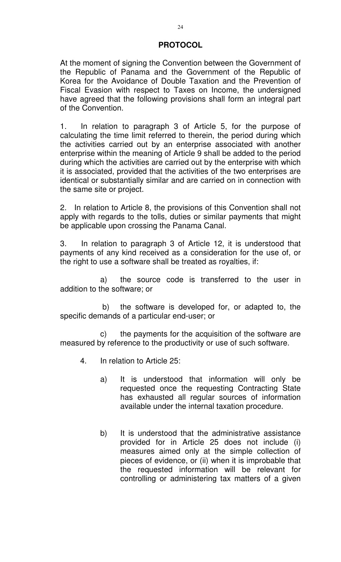## **PROTOCOL**

At the moment of signing the Convention between the Government of the Republic of Panama and the Government of the Republic of Korea for the Avoidance of Double Taxation and the Prevention of Fiscal Evasion with respect to Taxes on Income, the undersigned have agreed that the following provisions shall form an integral part of the Convention.

1. In relation to paragraph 3 of Article 5, for the purpose of calculating the time limit referred to therein, the period during which the activities carried out by an enterprise associated with another enterprise within the meaning of Article 9 shall be added to the period during which the activities are carried out by the enterprise with which it is associated, provided that the activities of the two enterprises are identical or substantially similar and are carried on in connection with the same site or project.

2. In relation to Article 8, the provisions of this Convention shall not apply with regards to the tolls, duties or similar payments that might be applicable upon crossing the Panama Canal.

3. In relation to paragraph 3 of Article 12, it is understood that payments of any kind received as a consideration for the use of, or the right to use a software shall be treated as royalties, if:

a) the source code is transferred to the user in addition to the software; or

 b) the software is developed for, or adapted to, the specific demands of a particular end-user; or

c) the payments for the acquisition of the software are measured by reference to the productivity or use of such software.

- 4. In relation to Article 25:
	- a) It is understood that information will only be requested once the requesting Contracting State has exhausted all regular sources of information available under the internal taxation procedure.
	- b) It is understood that the administrative assistance provided for in Article 25 does not include (i) measures aimed only at the simple collection of pieces of evidence, or (ii) when it is improbable that the requested information will be relevant for controlling or administering tax matters of a given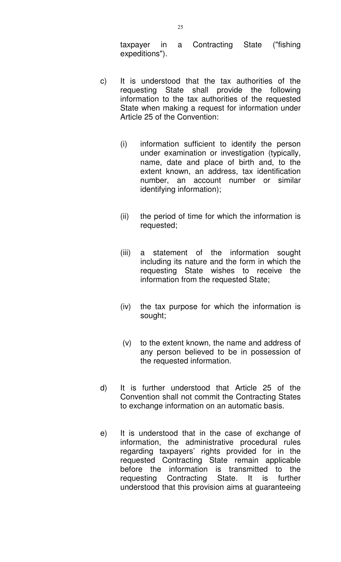taxpayer in a Contracting State ("fishing expeditions").

- c) It is understood that the tax authorities of the requesting State shall provide the following information to the tax authorities of the requested State when making a request for information under Article 25 of the Convention:
	- (i) information sufficient to identify the person under examination or investigation (typically, name, date and place of birth and, to the extent known, an address, tax identification number, an account number or similar identifying information);
	- (ii) the period of time for which the information is requested;
	- (iii) a statement of the information sought including its nature and the form in which the requesting State wishes to receive the information from the requested State;
	- (iv) the tax purpose for which the information is sought;
	- (v) to the extent known, the name and address of any person believed to be in possession of the requested information.
- d) It is further understood that Article 25 of the Convention shall not commit the Contracting States to exchange information on an automatic basis.
- e) It is understood that in the case of exchange of information, the administrative procedural rules regarding taxpayers' rights provided for in the requested Contracting State remain applicable before the information is transmitted to the requesting Contracting State. It is further understood that this provision aims at guaranteeing